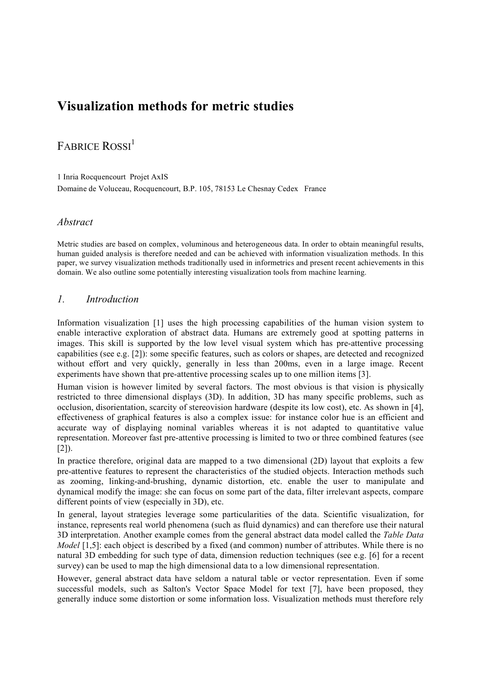# **Visualization methods for metric studies**

# FABRICE ROSSI<sup>1</sup>

1 Inria Rocquencourt Projet AxIS

Domaine de Voluceau, Rocquencourt, B.P. 105, 78153 Le Chesnay Cedex France

## *Abstract*

Metric studies are based on complex, voluminous and heterogeneous data. In order to obtain meaningful results, human guided analysis is therefore needed and can be achieved with information visualization methods. In this paper, we survey visualization methods traditionally used in informetrics and present recent achievements in this domain. We also outline some potentially interesting visualization tools from machine learning.

## *1. Introduction*

Information visualization [1] uses the high processing capabilities of the human vision system to enable interactive exploration of abstract data. Humans are extremely good at spotting patterns in images. This skill is supported by the low level visual system which has pre-attentive processing capabilities (see e.g. [2]): some specific features, such as colors or shapes, are detected and recognized without effort and very quickly, generally in less than 200ms, even in a large image. Recent experiments have shown that pre-attentive processing scales up to one million items [3].

Human vision is however limited by several factors. The most obvious is that vision is physically restricted to three dimensional displays (3D). In addition, 3D has many specific problems, such as occlusion, disorientation, scarcity of stereovision hardware (despite its low cost), etc. As shown in [4], effectiveness of graphical features is also a complex issue: for instance color hue is an efficient and accurate way of displaying nominal variables whereas it is not adapted to quantitative value representation. Moreover fast pre-attentive processing is limited to two or three combined features (see [2]).

In practice therefore, original data are mapped to a two dimensional (2D) layout that exploits a few pre-attentive features to represent the characteristics of the studied objects. Interaction methods such as zooming, linking-and-brushing, dynamic distortion, etc. enable the user to manipulate and dynamical modify the image: she can focus on some part of the data, filter irrelevant aspects, compare different points of view (especially in 3D), etc.

In general, layout strategies leverage some particularities of the data. Scientific visualization, for instance, represents real world phenomena (such as fluid dynamics) and can therefore use their natural 3D interpretation. Another example comes from the general abstract data model called the *Table Data Model* [1,5]: each object is described by a fixed (and common) number of attributes. While there is no natural 3D embedding for such type of data, dimension reduction techniques (see e.g. [6] for a recent survey) can be used to map the high dimensional data to a low dimensional representation.

However, general abstract data have seldom a natural table or vector representation. Even if some successful models, such as Salton's Vector Space Model for text [7], have been proposed, they generally induce some distortion or some information loss. Visualization methods must therefore rely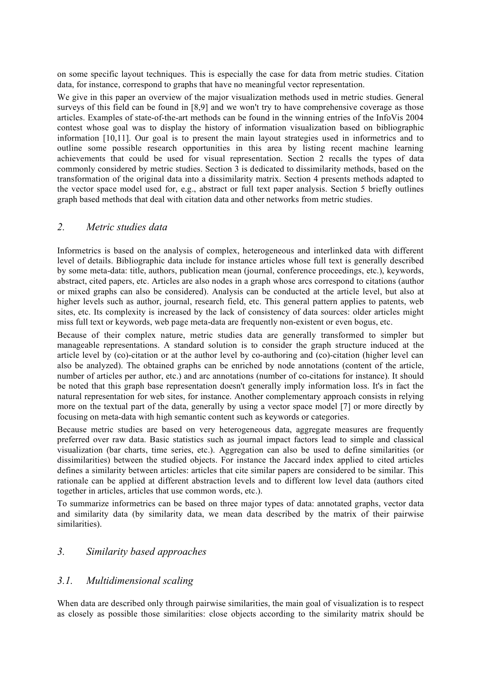on some specific layout techniques. This is especially the case for data from metric studies. Citation data, for instance, correspond to graphs that have no meaningful vector representation.

We give in this paper an overview of the major visualization methods used in metric studies. General surveys of this field can be found in [8,9] and we won't try to have comprehensive coverage as those articles. Examples of state-of-the-art methods can be found in the winning entries of the InfoVis 2004 contest whose goal was to display the history of information visualization based on bibliographic information [10,11]. Our goal is to present the main layout strategies used in informetrics and to outline some possible research opportunities in this area by listing recent machine learning achievements that could be used for visual representation. Section 2 recalls the types of data commonly considered by metric studies. Section 3 is dedicated to dissimilarity methods, based on the transformation of the original data into a dissimilarity matrix. Section 4 presents methods adapted to the vector space model used for, e.g., abstract or full text paper analysis. Section 5 briefly outlines graph based methods that deal with citation data and other networks from metric studies.

## *2. Metric studies data*

Informetrics is based on the analysis of complex, heterogeneous and interlinked data with different level of details. Bibliographic data include for instance articles whose full text is generally described by some meta-data: title, authors, publication mean (journal, conference proceedings, etc.), keywords, abstract, cited papers, etc. Articles are also nodes in a graph whose arcs correspond to citations (author or mixed graphs can also be considered). Analysis can be conducted at the article level, but also at higher levels such as author, journal, research field, etc. This general pattern applies to patents, web sites, etc. Its complexity is increased by the lack of consistency of data sources: older articles might miss full text or keywords, web page meta-data are frequently non-existent or even bogus, etc.

Because of their complex nature, metric studies data are generally transformed to simpler but manageable representations. A standard solution is to consider the graph structure induced at the article level by (co)-citation or at the author level by co-authoring and (co)-citation (higher level can also be analyzed). The obtained graphs can be enriched by node annotations (content of the article, number of articles per author, etc.) and arc annotations (number of co-citations for instance). It should be noted that this graph base representation doesn't generally imply information loss. It's in fact the natural representation for web sites, for instance. Another complementary approach consists in relying more on the textual part of the data, generally by using a vector space model [7] or more directly by focusing on meta-data with high semantic content such as keywords or categories.

Because metric studies are based on very heterogeneous data, aggregate measures are frequently preferred over raw data. Basic statistics such as journal impact factors lead to simple and classical visualization (bar charts, time series, etc.). Aggregation can also be used to define similarities (or dissimilarities) between the studied objects. For instance the Jaccard index applied to cited articles defines a similarity between articles: articles that cite similar papers are considered to be similar. This rationale can be applied at different abstraction levels and to different low level data (authors cited together in articles, articles that use common words, etc.).

To summarize informetrics can be based on three major types of data: annotated graphs, vector data and similarity data (by similarity data, we mean data described by the matrix of their pairwise similarities).

# *3. Similarity based approaches*

# *3.1. Multidimensional scaling*

When data are described only through pairwise similarities, the main goal of visualization is to respect as closely as possible those similarities: close objects according to the similarity matrix should be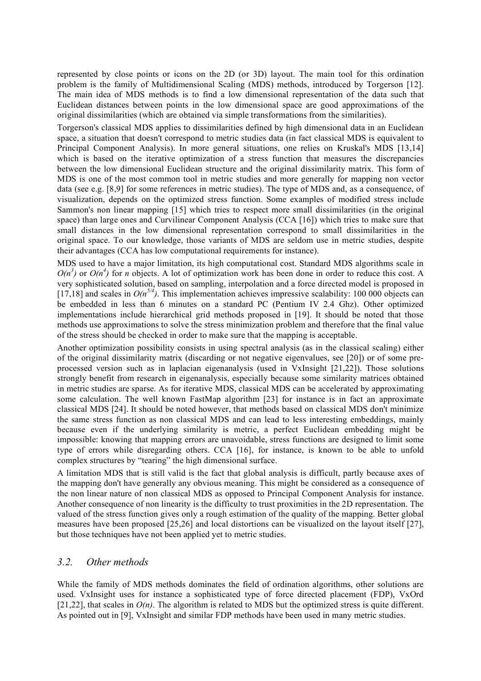represented by close points or icons on the 2D (or 3D) layout. The main tool for this ordination problem is the family of Multidimensional Scaling (MDS) methods, introduced by Torgerson [12]. The main idea of MDS methods is to find a low dimensional representation of the data such that Euclidean distances between points in the low dimensional space are good approximations of the original dissimilarities (which are obtained via simple transformations from the similarities).

Torgerson's classical MDS applies to dissimilarities defined by high dimensional data in an Euclidean space, a situation that doesn't correspond to metric studies data (in fact classical MDS is equivalent to Principal Component Analysis). In more general situations, one relies on Kruskal's MDS [13,14] which is based on the iterative optimization of a stress function that measures the discrepancies between the low dimensional Euclidean structure and the original dissimilarity matrix. This form of MDS is one of the most common tool in metric studies and more generally for mapping non vector data (see e.g. [8,9] for some references in metric studies). The type of MDS and, as a consequence, of visualization, depends on the optimized stress function. Some examples of modified stress include Sammon's non linear mapping [15] which tries to respect more small dissimilarities (in the original space) than large ones and Curvilinear Component Analysis (CCA [16]) which tries to make sure that small distances in the low dimensional representation correspond to small dissimilarities in the original space. To our knowledge, those variants of MDS are seldom use in metric studies, despite their advantages (CCA has low computational requirements for instance).

MDS used to have a major limitation, its high computational cost. Standard MDS algorithms scale in  $O(n^3)$  or  $O(n^4)$  for *n* objects. A lot of optimization work has been done in order to reduce this cost. A very sophisticated solution, based on sampling, interpolation and a force directed model is proposed in [17,18] and scales in  $O(n^{5/4})$ . This implementation achieves impressive scalability: 100 000 objects can be embedded in less than 6 minutes on a standard PC (Pentium IV 2.4 Ghz). Other optimized implementations include hierarchical grid methods proposed in [19]. It should be noted that those methods use approximations to solve the stress minimization problem and therefore that the final value of the stress should be checked in order to make sure that the mapping is acceptable.

Another optimization possibility consists in using spectral analysis (as in the classical scaling) either of the original dissimilarity matrix (discarding or not negative eigenvalues, see [20]) or of some preprocessed version such as in laplacian eigenanalysis (used in VxInsight [21,22]). Those solutions strongly benefit from research in eigenanalysis, especially because some similarity matrices obtained in metric studies are sparse. As for iterative MDS, classical MDS can be accelerated by approximating some calculation. The well known FastMap algorithm [23] for instance is in fact an approximate classical MDS [24]. It should be noted however, that methods based on classical MDS don't minimize the same stress function as non classical MDS and can lead to less interesting embeddings, mainly because even if the underlying similarity is metric, a perfect Euclidean embedding might be impossible: knowing that mapping errors are unavoidable, stress functions are designed to limit some type of errors while disregarding others. CCA [16], for instance, is known to be able to unfold complex structures by "tearing" the high dimensional surface.

A limitation MDS that is still valid is the fact that global analysis is difficult, partly because axes of the mapping don't have generally any obvious meaning. This might be considered as a consequence of the non linear nature of non classical MDS as opposed to Principal Component Analysis for instance. Another consequence of non linearity is the difficulty to trust proximities in the 2D representation. The valued of the stress function gives only a rough estimation of the quality of the mapping. Better global measures have been proposed [25,26] and local distortions can be visualized on the layout itself [27], but those techniques have not been applied yet to metric studies.

#### *3.2. Other methods*

While the family of MDS methods dominates the field of ordination algorithms, other solutions are used. VxInsight uses for instance a sophisticated type of force directed placement (FDP), VxOrd [21,22], that scales in *O(n)*. The algorithm is related to MDS but the optimized stress is quite different. As pointed out in [9], VxInsight and similar FDP methods have been used in many metric studies.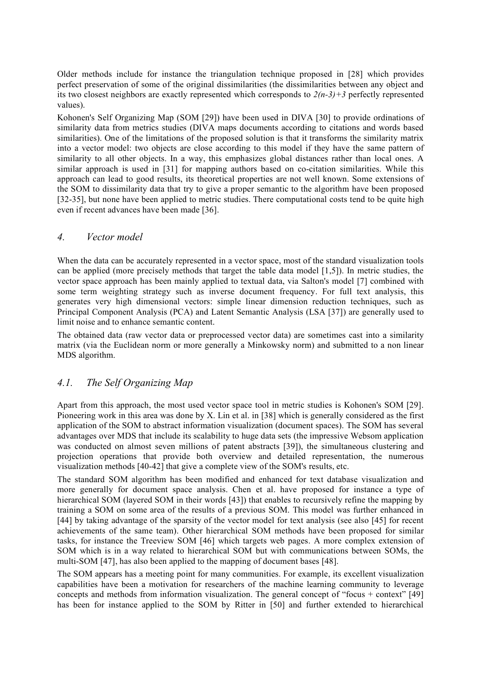Older methods include for instance the triangulation technique proposed in [28] which provides perfect preservation of some of the original dissimilarities (the dissimilarities between any object and its two closest neighbors are exactly represented which corresponds to *2(n-3)+3* perfectly represented values).

Kohonen's Self Organizing Map (SOM [29]) have been used in DIVA [30] to provide ordinations of similarity data from metrics studies (DIVA maps documents according to citations and words based similarities). One of the limitations of the proposed solution is that it transforms the similarity matrix into a vector model: two objects are close according to this model if they have the same pattern of similarity to all other objects. In a way, this emphasizes global distances rather than local ones. A similar approach is used in [31] for mapping authors based on co-citation similarities. While this approach can lead to good results, its theoretical properties are not well known. Some extensions of the SOM to dissimilarity data that try to give a proper semantic to the algorithm have been proposed [32-35], but none have been applied to metric studies. There computational costs tend to be quite high even if recent advances have been made [36].

## *4. Vector model*

When the data can be accurately represented in a vector space, most of the standard visualization tools can be applied (more precisely methods that target the table data model [1,5]). In metric studies, the vector space approach has been mainly applied to textual data, via Salton's model [7] combined with some term weighting strategy such as inverse document frequency. For full text analysis, this generates very high dimensional vectors: simple linear dimension reduction techniques, such as Principal Component Analysis (PCA) and Latent Semantic Analysis (LSA [37]) are generally used to limit noise and to enhance semantic content.

The obtained data (raw vector data or preprocessed vector data) are sometimes cast into a similarity matrix (via the Euclidean norm or more generally a Minkowsky norm) and submitted to a non linear MDS algorithm.

# *4.1. The Self Organizing Map*

Apart from this approach, the most used vector space tool in metric studies is Kohonen's SOM [29]. Pioneering work in this area was done by X. Lin et al. in [38] which is generally considered as the first application of the SOM to abstract information visualization (document spaces). The SOM has several advantages over MDS that include its scalability to huge data sets (the impressive Websom application was conducted on almost seven millions of patent abstracts [39]), the simultaneous clustering and projection operations that provide both overview and detailed representation, the numerous visualization methods [40-42] that give a complete view of the SOM's results, etc.

The standard SOM algorithm has been modified and enhanced for text database visualization and more generally for document space analysis. Chen et al. have proposed for instance a type of hierarchical SOM (layered SOM in their words [43]) that enables to recursively refine the mapping by training a SOM on some area of the results of a previous SOM. This model was further enhanced in [44] by taking advantage of the sparsity of the vector model for text analysis (see also [45] for recent achievements of the same team). Other hierarchical SOM methods have been proposed for similar tasks, for instance the Treeview SOM [46] which targets web pages. A more complex extension of SOM which is in a way related to hierarchical SOM but with communications between SOMs, the multi-SOM [47], has also been applied to the mapping of document bases [48].

The SOM appears has a meeting point for many communities. For example, its excellent visualization capabilities have been a motivation for researchers of the machine learning community to leverage concepts and methods from information visualization. The general concept of "focus  $+$  context" [49] has been for instance applied to the SOM by Ritter in [50] and further extended to hierarchical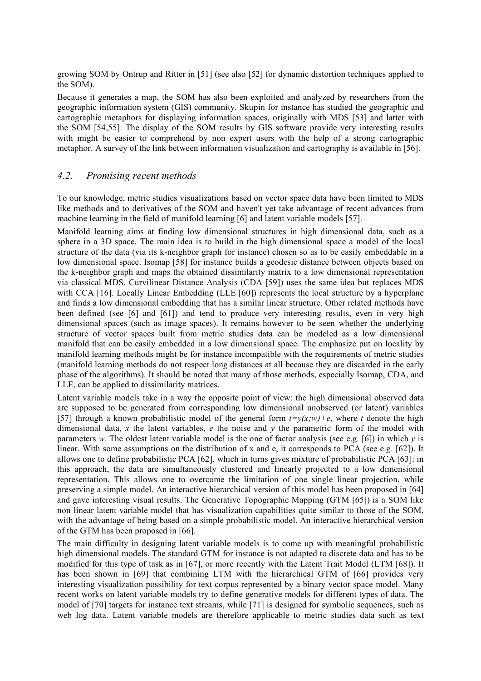growing SOM by Ontrup and Ritter in [51] (see also [52] for dynamic distortion techniques applied to the SOM).

Because it generates a map, the SOM has also been exploited and analyzed by researchers from the geographic information system (GIS) community. Skupin for instance has studied the geographic and cartographic metaphors for displaying information spaces, originally with MDS [53] and latter with the SOM [54,55]. The display of the SOM results by GIS software provide very interesting results with might be easier to comprehend by non expert users with the help of a strong cartographic metaphor. A survey of the link between information visualization and cartography is available in [56].

## *4.2. Promising recent methods*

To our knowledge, metric studies visualizations based on vector space data have been limited to MDS like methods and to derivatives of the SOM and haven't yet take advantage of recent advances from machine learning in the field of manifold learning [6] and latent variable models [57].

Manifold learning aims at finding low dimensional structures in high dimensional data, such as a sphere in a 3D space. The main idea is to build in the high dimensional space a model of the local structure of the data (via its k-neighbor graph for instance) chosen so as to be easily embeddable in a low dimensional space. Isomap [58] for instance builds a geodesic distance between objects based on the k-neighbor graph and maps the obtained dissimilarity matrix to a low dimensional representation via classical MDS. Curvilinear Distance Analysis (CDA [59]) uses the same idea but replaces MDS with CCA [16]. Locally Linear Embedding (LLE [60]) represents the local structure by a hyperplane and finds a low dimensional embedding that has a similar linear structure. Other related methods have been defined (see [6] and [61]) and tend to produce very interesting results, even in very high dimensional spaces (such as image spaces). It remains however to be seen whether the underlying structure of vector spaces built from metric studies data can be modeled as a low dimensional manifold that can be easily embedded in a low dimensional space. The emphasize put on locality by manifold learning methods might be for instance incompatible with the requirements of metric studies (manifold learning methods do not respect long distances at all because they are discarded in the early phase of the algorithms). It should be noted that many of those methods, especially Isomap, CDA, and LLE, can be applied to dissimilarity matrices.

Latent variable models take in a way the opposite point of view: the high dimensional observed data are supposed to be generated from corresponding low dimensional unobserved (or latent) variables [57] through a known probabilistic model of the general form  $t = v(x;w) + e$ , where *t* denote the high dimensional data, *x* the latent variables, *e* the noise and *y* the parametric form of the model with parameters *w*. The oldest latent variable model is the one of factor analysis (see e.g. [6]) in which *y* is linear. With some assumptions on the distribution of x and e, it corresponds to PCA (see e.g. [62]). It allows one to define probabilistic PCA [62], which in turns gives mixture of probabilistic PCA [63]: in this approach, the data are simultaneously clustered and linearly projected to a low dimensional representation. This allows one to overcome the limitation of one single linear projection, while preserving a simple model. An interactive hierarchical version of this model has been proposed in [64] and gave interesting visual results. The Generative Topographic Mapping (GTM [65]) is a SOM like non linear latent variable model that has visualization capabilities quite similar to those of the SOM, with the advantage of being based on a simple probabilistic model. An interactive hierarchical version of the GTM has been proposed in [66].

The main difficulty in designing latent variable models is to come up with meaningful probabilistic high dimensional models. The standard GTM for instance is not adapted to discrete data and has to be modified for this type of task as in [67], or more recently with the Latent Trait Model (LTM [68]). It has been shown in [69] that combining LTM with the hierarchical GTM of [66] provides very interesting visualization possibility for text corpus represented by a binary vector space model. Many recent works on latent variable models try to define generative models for different types of data. The model of [70] targets for instance text streams, while [71] is designed for symbolic sequences, such as web log data. Latent variable models are therefore applicable to metric studies data such as text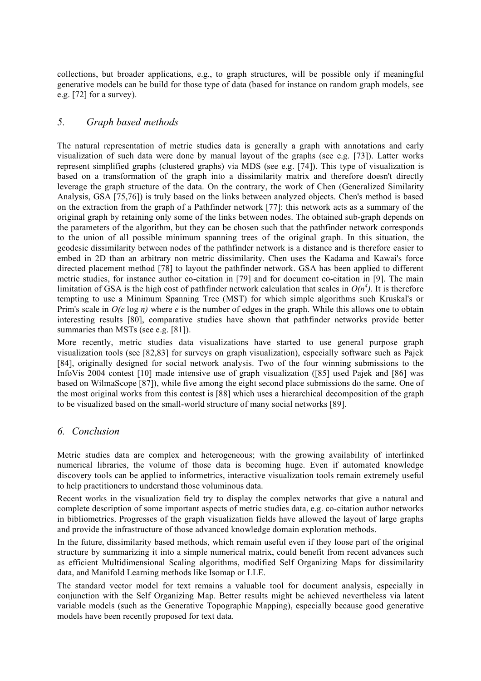collections, but broader applications, e.g., to graph structures, will be possible only if meaningful generative models can be build for those type of data (based for instance on random graph models, see e.g. [72] for a survey).

# *5. Graph based methods*

The natural representation of metric studies data is generally a graph with annotations and early visualization of such data were done by manual layout of the graphs (see e.g. [73]). Latter works represent simplified graphs (clustered graphs) via MDS (see e.g. [74]). This type of visualization is based on a transformation of the graph into a dissimilarity matrix and therefore doesn't directly leverage the graph structure of the data. On the contrary, the work of Chen (Generalized Similarity Analysis, GSA [75,76]) is truly based on the links between analyzed objects. Chen's method is based on the extraction from the graph of a Pathfinder network [77]: this network acts as a summary of the original graph by retaining only some of the links between nodes. The obtained sub-graph depends on the parameters of the algorithm, but they can be chosen such that the pathfinder network corresponds to the union of all possible minimum spanning trees of the original graph. In this situation, the geodesic dissimilarity between nodes of the pathfinder network is a distance and is therefore easier to embed in 2D than an arbitrary non metric dissimilarity. Chen uses the Kadama and Kawai's force directed placement method [78] to layout the pathfinder network. GSA has been applied to different metric studies, for instance author co-citation in [79] and for document co-citation in [9]. The main limitation of GSA is the high cost of pathfinder network calculation that scales in  $O(n<sup>4</sup>)$ . It is therefore tempting to use a Minimum Spanning Tree (MST) for which simple algorithms such Kruskal's or Prim's scale in *O(e* log *n)* where *e* is the number of edges in the graph. While this allows one to obtain interesting results [80], comparative studies have shown that pathfinder networks provide better summaries than MSTs (see e.g. [81]).

More recently, metric studies data visualizations have started to use general purpose graph visualization tools (see [82,83] for surveys on graph visualization), especially software such as Pajek [84], originally designed for social network analysis. Two of the four winning submissions to the InfoVis 2004 contest [10] made intensive use of graph visualization ([85] used Pajek and [86] was based on WilmaScope [87]), while five among the eight second place submissions do the same. One of the most original works from this contest is [88] which uses a hierarchical decomposition of the graph to be visualized based on the small-world structure of many social networks [89].

# *6. Conclusion*

Metric studies data are complex and heterogeneous; with the growing availability of interlinked numerical libraries, the volume of those data is becoming huge. Even if automated knowledge discovery tools can be applied to informetrics, interactive visualization tools remain extremely useful to help practitioners to understand those voluminous data.

Recent works in the visualization field try to display the complex networks that give a natural and complete description of some important aspects of metric studies data, e.g. co-citation author networks in bibliometrics. Progresses of the graph visualization fields have allowed the layout of large graphs and provide the infrastructure of those advanced knowledge domain exploration methods.

In the future, dissimilarity based methods, which remain useful even if they loose part of the original structure by summarizing it into a simple numerical matrix, could benefit from recent advances such as efficient Multidimensional Scaling algorithms, modified Self Organizing Maps for dissimilarity data, and Manifold Learning methods like Isomap or LLE.

The standard vector model for text remains a valuable tool for document analysis, especially in conjunction with the Self Organizing Map. Better results might be achieved nevertheless via latent variable models (such as the Generative Topographic Mapping), especially because good generative models have been recently proposed for text data.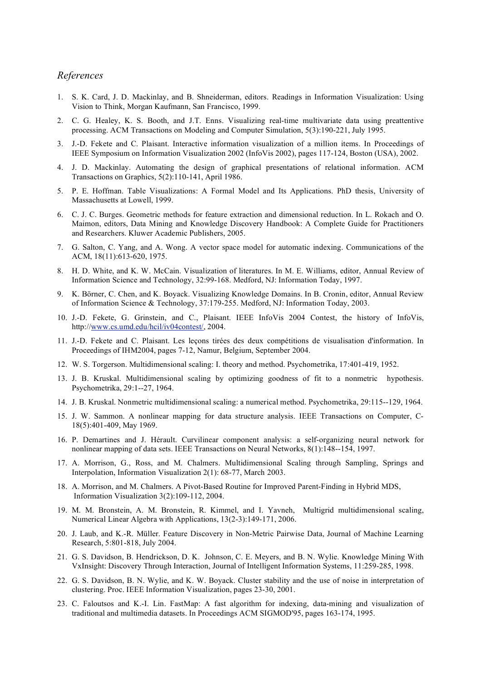#### *References*

- 1. S. K. Card, J. D. Mackinlay, and B. Shneiderman, editors. Readings in Information Visualization: Using Vision to Think, Morgan Kaufmann, San Francisco, 1999.
- 2. C. G. Healey, K. S. Booth, and J.T. Enns. Visualizing real-time multivariate data using preattentive processing. ACM Transactions on Modeling and Computer Simulation, 5(3):190-221, July 1995.
- 3. J.-D. Fekete and C. Plaisant. Interactive information visualization of a million items. In Proceedings of IEEE Symposium on Information Visualization 2002 (InfoVis 2002), pages 117-124, Boston (USA), 2002.
- 4. J. D. Mackinlay. Automating the design of graphical presentations of relational information. ACM Transactions on Graphics, 5(2):110-141, April 1986.
- 5. P. E. Hoffman. Table Visualizations: A Formal Model and Its Applications. PhD thesis, University of Massachusetts at Lowell, 1999.
- 6. C. J. C. Burges. Geometric methods for feature extraction and dimensional reduction. In L. Rokach and O. Maimon, editors, Data Mining and Knowledge Discovery Handbook: A Complete Guide for Practitioners and Researchers. Kluwer Academic Publishers, 2005.
- 7. G. Salton, C. Yang, and A. Wong. A vector space model for automatic indexing. Communications of the ACM, 18(11):613-620, 1975.
- 8. H. D. White, and K. W. McCain. Visualization of literatures. In M. E. Williams, editor, Annual Review of Information Science and Technology, 32:99-168. Medford, NJ: Information Today, 1997.
- 9. K. Börner, C. Chen, and K. Boyack. Visualizing Knowledge Domains. In B. Cronin, editor, Annual Review of Information Science & Technology, 37:179-255. Medford, NJ: Information Today, 2003.
- 10. J.-D. Fekete, G. Grinstein, and C., Plaisant. IEEE InfoVis 2004 Contest, the history of InfoVis, http://www.cs.umd.edu/hcil/iv04contest/, 2004.
- 11. J.-D. Fekete and C. Plaisant. Les leçons tirées des deux compétitions de visualisation d'information. In Proceedings of IHM2004, pages 7-12, Namur, Belgium, September 2004.
- 12. W. S. Torgerson. Multidimensional scaling: I. theory and method. Psychometrika, 17:401-419, 1952.
- 13. J. B. Kruskal. Multidimensional scaling by optimizing goodness of fit to a nonmetric hypothesis. Psychometrika, 29:1--27, 1964.
- 14. J. B. Kruskal. Nonmetric multidimensional scaling: a numerical method. Psychometrika, 29:115--129, 1964.
- 15. J. W. Sammon. A nonlinear mapping for data structure analysis. IEEE Transactions on Computer, C-18(5):401-409, May 1969.
- 16. P. Demartines and J. Hérault. Curvilinear component analysis: a self-organizing neural network for nonlinear mapping of data sets. IEEE Transactions on Neural Networks, 8(1):148--154, 1997.
- 17. A. Morrison, G., Ross, and M. Chalmers. Multidimensional Scaling through Sampling, Springs and Interpolation, Information Visualization 2(1): 68-77, March 2003.
- 18. A. Morrison, and M. Chalmers. A Pivot-Based Routine for Improved Parent-Finding in Hybrid MDS, Information Visualization 3(2):109-112, 2004.
- 19. M. M. Bronstein, A. M. Bronstein, R. Kimmel, and I. Yavneh, Multigrid multidimensional scaling, Numerical Linear Algebra with Applications, 13(2-3):149-171, 2006.
- 20. J. Laub, and K.-R. Müller. Feature Discovery in Non-Metric Pairwise Data, Journal of Machine Learning Research, 5:801-818, July 2004.
- 21. G. S. Davidson, B. Hendrickson, D. K. Johnson, C. E. Meyers, and B. N. Wylie. Knowledge Mining With VxInsight: Discovery Through Interaction, Journal of Intelligent Information Systems, 11:259-285, 1998.
- 22. G. S. Davidson, B. N. Wylie, and K. W. Boyack. Cluster stability and the use of noise in interpretation of clustering. Proc. IEEE Information Visualization, pages 23-30, 2001.
- 23. C. Faloutsos and K.-I. Lin. FastMap: A fast algorithm for indexing, data-mining and visualization of traditional and multimedia datasets. In Proceedings ACM SIGMOD'95, pages 163-174, 1995.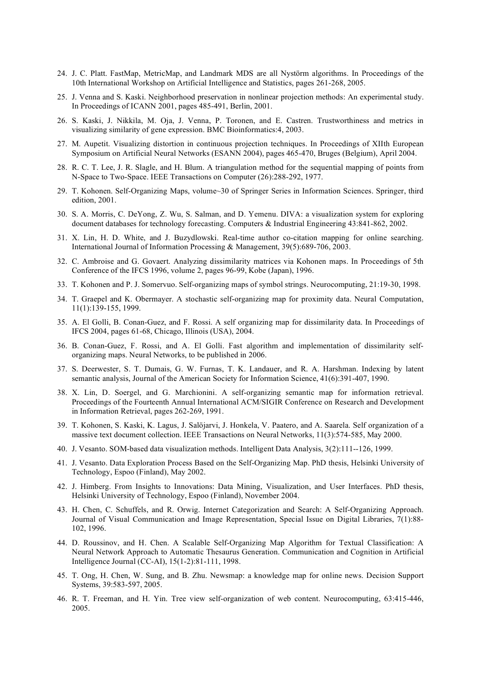- 24. J. C. Platt. FastMap, MetricMap, and Landmark MDS are all Nystörm algorithms. In Proceedings of the 10th International Workshop on Artificial Intelligence and Statistics, pages 261-268, 2005.
- 25. J. Venna and S. Kaski. Neighborhood preservation in nonlinear projection methods: An experimental study. In Proceedings of ICANN 2001, pages 485-491, Berlin, 2001.
- 26. S. Kaski, J. Nikkila, M. Oja, J. Venna, P. Toronen, and E. Castren. Trustworthiness and metrics in visualizing similarity of gene expression. BMC Bioinformatics:4, 2003.
- 27. M. Aupetit. Visualizing distortion in continuous projection techniques. In Proceedings of XIIth European Symposium on Artificial Neural Networks (ESANN 2004), pages 465-470, Bruges (Belgium), April 2004.
- 28. R. C. T. Lee, J. R. Slagle, and H. Blum. A triangulation method for the sequential mapping of points from N-Space to Two-Space. IEEE Transactions on Computer (26):288-292, 1977.
- 29. T. Kohonen. Self-Organizing Maps, volume~30 of Springer Series in Information Sciences. Springer, third edition, 2001.
- 30. S. A. Morris, C. DeYong, Z. Wu, S. Salman, and D. Yemenu. DIVA: a visualization system for exploring document databases for technology forecasting. Computers & Industrial Engineering 43:841-862, 2002.
- 31. X. Lin, H. D. White, and J. Buzydlowski. Real-time author co-citation mapping for online searching. International Journal of Information Processing & Management, 39(5):689-706, 2003.
- 32. C. Ambroise and G. Govaert. Analyzing dissimilarity matrices via Kohonen maps. In Proceedings of 5th Conference of the IFCS 1996, volume 2, pages 96-99, Kobe (Japan), 1996.
- 33. T. Kohonen and P. J. Somervuo. Self-organizing maps of symbol strings. Neurocomputing, 21:19-30, 1998.
- 34. T. Graepel and K. Obermayer. A stochastic self-organizing map for proximity data. Neural Computation, 11(1):139-155, 1999.
- 35. A. El Golli, B. Conan-Guez, and F. Rossi. A self organizing map for dissimilarity data. In Proceedings of IFCS 2004, pages 61-68, Chicago, Illinois (USA), 2004.
- 36. B. Conan-Guez, F. Rossi, and A. El Golli. Fast algorithm and implementation of dissimilarity selforganizing maps. Neural Networks, to be published in 2006.
- 37. S. Deerwester, S. T. Dumais, G. W. Furnas, T. K. Landauer, and R. A. Harshman. Indexing by latent semantic analysis, Journal of the American Society for Information Science, 41(6):391-407, 1990.
- 38. X. Lin, D. Soergel, and G. Marchionini. A self-organizing semantic map for information retrieval. Proceedings of the Fourteenth Annual International ACM/SIGIR Conference on Research and Development in Information Retrieval, pages 262-269, 1991.
- 39. T. Kohonen, S. Kaski, K. Lagus, J. Salöjarvi, J. Honkela, V. Paatero, and A. Saarela. Self organization of a massive text document collection. IEEE Transactions on Neural Networks, 11(3):574-585, May 2000.
- 40. J. Vesanto. SOM-based data visualization methods. Intelligent Data Analysis, 3(2):111--126, 1999.
- 41. J. Vesanto. Data Exploration Process Based on the Self-Organizing Map. PhD thesis, Helsinki University of Technology, Espoo (Finland), May 2002.
- 42. J. Himberg. From Insights to Innovations: Data Mining, Visualization, and User Interfaces. PhD thesis, Helsinki University of Technology, Espoo (Finland), November 2004.
- 43. H. Chen, C. Schuffels, and R. Orwig. Internet Categorization and Search: A Self-Organizing Approach. Journal of Visual Communication and Image Representation, Special Issue on Digital Libraries, 7(1):88- 102, 1996.
- 44. D. Roussinov, and H. Chen. A Scalable Self-Organizing Map Algorithm for Textual Classification: A Neural Network Approach to Automatic Thesaurus Generation. Communication and Cognition in Artificial Intelligence Journal (CC-AI), 15(1-2):81-111, 1998.
- 45. T. Ong, H. Chen, W. Sung, and B. Zhu. Newsmap: a knowledge map for online news. Decision Support Systems, 39:583-597, 2005.
- 46. R. T. Freeman, and H. Yin. Tree view self-organization of web content. Neurocomputing, 63:415-446, 2005.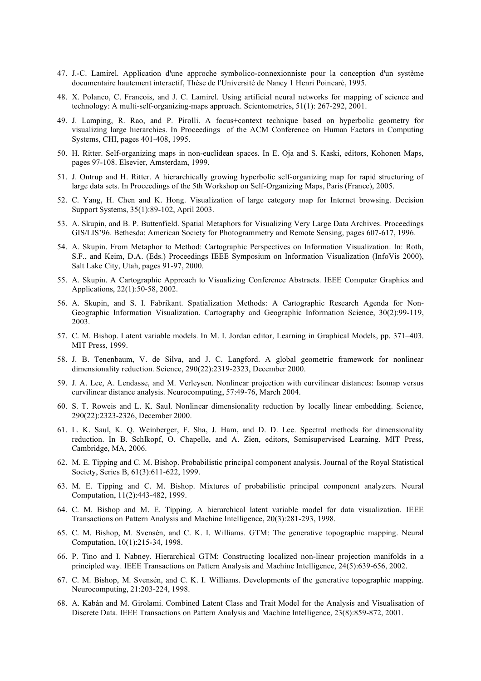- 47. J.-C. Lamirel. Application d'une approche symbolico-connexionniste pour la conception d'un système documentaire hautement interactif, Thèse de l'Université de Nancy 1 Henri Poincaré, 1995.
- 48. X. Polanco, C. Francois, and J. C. Lamirel. Using artificial neural networks for mapping of science and technology: A multi-self-organizing-maps approach. Scientometrics, 51(1): 267-292, 2001.
- 49. J. Lamping, R. Rao, and P. Pirolli. A focus+context technique based on hyperbolic geometry for visualizing large hierarchies. In Proceedings of the ACM Conference on Human Factors in Computing Systems, CHI, pages 401-408, 1995.
- 50. H. Ritter. Self-organizing maps in non-euclidean spaces. In E. Oja and S. Kaski, editors, Kohonen Maps, pages 97-108. Elsevier, Amsterdam, 1999.
- 51. J. Ontrup and H. Ritter. A hierarchically growing hyperbolic self-organizing map for rapid structuring of large data sets. In Proceedings of the 5th Workshop on Self-Organizing Maps, Paris (France), 2005.
- 52. C. Yang, H. Chen and K. Hong. Visualization of large category map for Internet browsing. Decision Support Systems, 35(1):89-102, April 2003.
- 53. A. Skupin, and B. P. Buttenfield. Spatial Metaphors for Visualizing Very Large Data Archives. Proceedings GIS/LIS'96. Bethesda: American Society for Photogrammetry and Remote Sensing, pages 607-617, 1996.
- 54. A. Skupin. From Metaphor to Method: Cartographic Perspectives on Information Visualization. In: Roth, S.F., and Keim, D.A. (Eds.) Proceedings IEEE Symposium on Information Visualization (InfoVis 2000), Salt Lake City, Utah, pages 91-97, 2000.
- 55. A. Skupin. A Cartographic Approach to Visualizing Conference Abstracts. IEEE Computer Graphics and Applications, 22(1):50-58, 2002.
- 56. A. Skupin, and S. I. Fabrikant. Spatialization Methods: A Cartographic Research Agenda for Non-Geographic Information Visualization. Cartography and Geographic Information Science, 30(2):99-119, 2003.
- 57. C. M. Bishop. Latent variable models. In M. I. Jordan editor, Learning in Graphical Models, pp. 371–403. MIT Press, 1999.
- 58. J. B. Tenenbaum, V. de Silva, and J. C. Langford. A global geometric framework for nonlinear dimensionality reduction. Science, 290(22):2319-2323, December 2000.
- 59. J. A. Lee, A. Lendasse, and M. Verleysen. Nonlinear projection with curvilinear distances: Isomap versus curvilinear distance analysis. Neurocomputing, 57:49-76, March 2004.
- 60. S. T. Roweis and L. K. Saul. Nonlinear dimensionality reduction by locally linear embedding. Science, 290(22):2323-2326, December 2000.
- 61. L. K. Saul, K. Q. Weinberger, F. Sha, J. Ham, and D. D. Lee. Spectral methods for dimensionality reduction. In B. Schlkopf, O. Chapelle, and A. Zien, editors, Semisupervised Learning. MIT Press, Cambridge, MA, 2006.
- 62. M. E. Tipping and C. M. Bishop. Probabilistic principal component analysis. Journal of the Royal Statistical Society, Series B, 61(3):611-622, 1999.
- 63. M. E. Tipping and C. M. Bishop. Mixtures of probabilistic principal component analyzers. Neural Computation, 11(2):443-482, 1999.
- 64. C. M. Bishop and M. E. Tipping. A hierarchical latent variable model for data visualization. IEEE Transactions on Pattern Analysis and Machine Intelligence, 20(3):281-293, 1998.
- 65. C. M. Bishop, M. Svensén, and C. K. I. Williams. GTM: The generative topographic mapping. Neural Computation, 10(1):215-34, 1998.
- 66. P. Tino and I. Nabney. Hierarchical GTM: Constructing localized non-linear projection manifolds in a principled way. IEEE Transactions on Pattern Analysis and Machine Intelligence, 24(5):639-656, 2002.
- 67. C. M. Bishop, M. Svensén, and C. K. I. Williams. Developments of the generative topographic mapping. Neurocomputing, 21:203-224, 1998.
- 68. A. Kabán and M. Girolami. Combined Latent Class and Trait Model for the Analysis and Visualisation of Discrete Data. IEEE Transactions on Pattern Analysis and Machine Intelligence, 23(8):859-872, 2001.